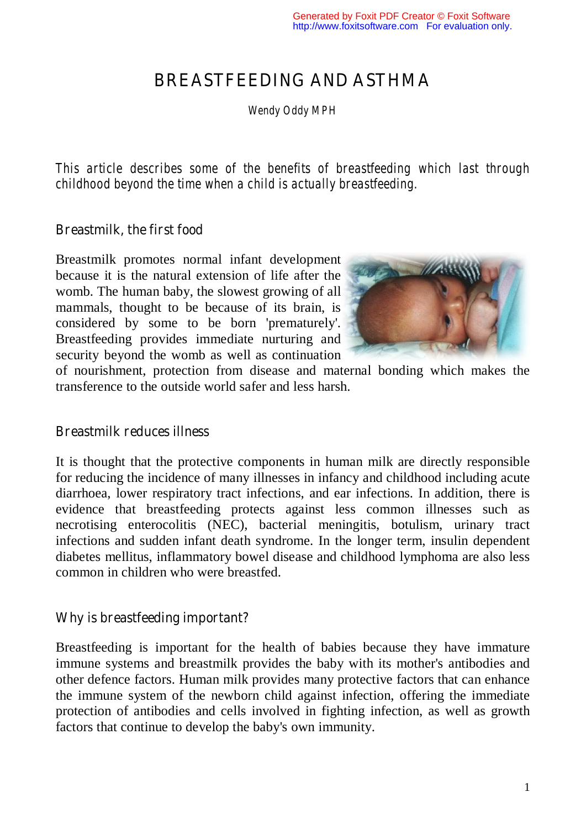# BREASTFEEDING AND ASTHMA

*Wendy Oddy MPH* 

*This article describes some of the benefits of breastfeeding which last through childhood beyond the time when a child is actually breastfeeding.*

#### Breastmilk, the first food

Breastmilk promotes normal infant development because it is the natural extension of life after the womb. The human baby, the slowest growing of all mammals, thought to be because of its brain, is considered by some to be born 'prematurely'. Breastfeeding provides immediate nurturing and security beyond the womb as well as continuation



of nourishment, protection from disease and maternal bonding which makes the transference to the outside world safer and less harsh.

#### Breastmilk reduces illness

It is thought that the protective components in human milk are directly responsible for reducing the incidence of many illnesses in infancy and childhood including acute diarrhoea, lower respiratory tract infections, and ear infections. In addition, there is evidence that breastfeeding protects against less common illnesses such as necrotising enterocolitis (NEC), bacterial meningitis, botulism, urinary tract infections and sudden infant death syndrome. In the longer term, insulin dependent diabetes mellitus, inflammatory bowel disease and childhood lymphoma are also less common in children who were breastfed.

#### Why is breastfeeding important?

Breastfeeding is important for the health of babies because they have immature immune systems and breastmilk provides the baby with its mother's antibodies and other defence factors. Human milk provides many protective factors that can enhance the immune system of the newborn child against infection, offering the immediate protection of antibodies and cells involved in fighting infection, as well as growth factors that continue to develop the baby's own immunity.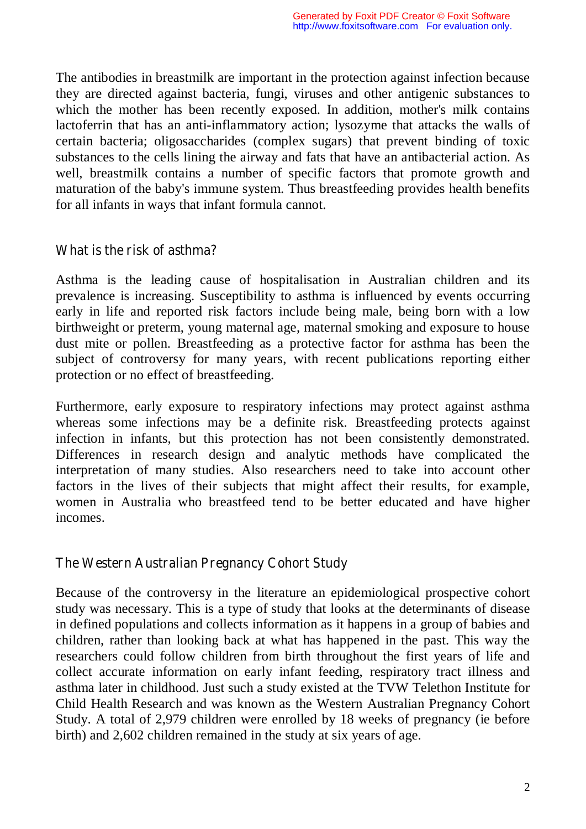The antibodies in breastmilk are important in the protection against infection because they are directed against bacteria, fungi, viruses and other antigenic substances to which the mother has been recently exposed. In addition, mother's milk contains lactoferrin that has an anti-inflammatory action; lysozyme that attacks the walls of certain bacteria; oligosaccharides (complex sugars) that prevent binding of toxic substances to the cells lining the airway and fats that have an antibacterial action. As well, breastmilk contains a number of specific factors that promote growth and maturation of the baby's immune system. Thus breastfeeding provides health benefits for all infants in ways that infant formula cannot.

#### What is the risk of asthma?

Asthma is the leading cause of hospitalisation in Australian children and its prevalence is increasing. Susceptibility to asthma is influenced by events occurring early in life and reported risk factors include being male, being born with a low birthweight or preterm, young maternal age, maternal smoking and exposure to house dust mite or pollen. Breastfeeding as a protective factor for asthma has been the subject of controversy for many years, with recent publications reporting either protection or no effect of breastfeeding.

Furthermore, early exposure to respiratory infections may protect against asthma whereas some infections may be a definite risk. Breastfeeding protects against infection in infants, but this protection has not been consistently demonstrated. Differences in research design and analytic methods have complicated the interpretation of many studies. Also researchers need to take into account other factors in the lives of their subjects that might affect their results, for example, women in Australia who breastfeed tend to be better educated and have higher incomes.

#### The Western Australian Pregnancy Cohort Study

Because of the controversy in the literature an epidemiological prospective cohort study was necessary. This is a type of study that looks at the determinants of disease in defined populations and collects information as it happens in a group of babies and children, rather than looking back at what has happened in the past. This way the researchers could follow children from birth throughout the first years of life and collect accurate information on early infant feeding, respiratory tract illness and asthma later in childhood. Just such a study existed at the TVW Telethon Institute for Child Health Research and was known as the Western Australian Pregnancy Cohort Study. A total of 2,979 children were enrolled by 18 weeks of pregnancy (ie before birth) and 2,602 children remained in the study at six years of age.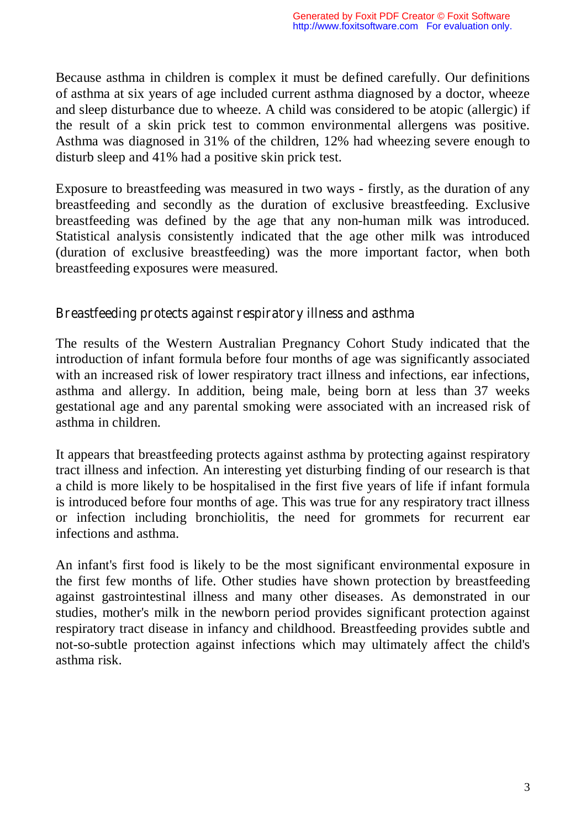Because asthma in children is complex it must be defined carefully. Our definitions of asthma at six years of age included current asthma diagnosed by a doctor, wheeze and sleep disturbance due to wheeze. A child was considered to be atopic (allergic) if the result of a skin prick test to common environmental allergens was positive. Asthma was diagnosed in 31% of the children, 12% had wheezing severe enough to disturb sleep and 41% had a positive skin prick test.

Exposure to breastfeeding was measured in two ways - firstly, as the duration of any breastfeeding and secondly as the duration of exclusive breastfeeding. Exclusive breastfeeding was defined by the age that any non-human milk was introduced. Statistical analysis consistently indicated that the age other milk was introduced (duration of exclusive breastfeeding) was the more important factor, when both breastfeeding exposures were measured.

#### Breastfeeding protects against respiratory illness and asthma

The results of the Western Australian Pregnancy Cohort Study indicated that the introduction of infant formula before four months of age was significantly associated with an increased risk of lower respiratory tract illness and infections, ear infections, asthma and allergy. In addition, being male, being born at less than 37 weeks gestational age and any parental smoking were associated with an increased risk of asthma in children.

It appears that breastfeeding protects against asthma by protecting against respiratory tract illness and infection. An interesting yet disturbing finding of our research is that a child is more likely to be hospitalised in the first five years of life if infant formula is introduced before four months of age. This was true for any respiratory tract illness or infection including bronchiolitis, the need for grommets for recurrent ear infections and asthma.

An infant's first food is likely to be the most significant environmental exposure in the first few months of life. Other studies have shown protection by breastfeeding against gastrointestinal illness and many other diseases. As demonstrated in our studies, mother's milk in the newborn period provides significant protection against respiratory tract disease in infancy and childhood. Breastfeeding provides subtle and not-so-subtle protection against infections which may ultimately affect the child's asthma risk.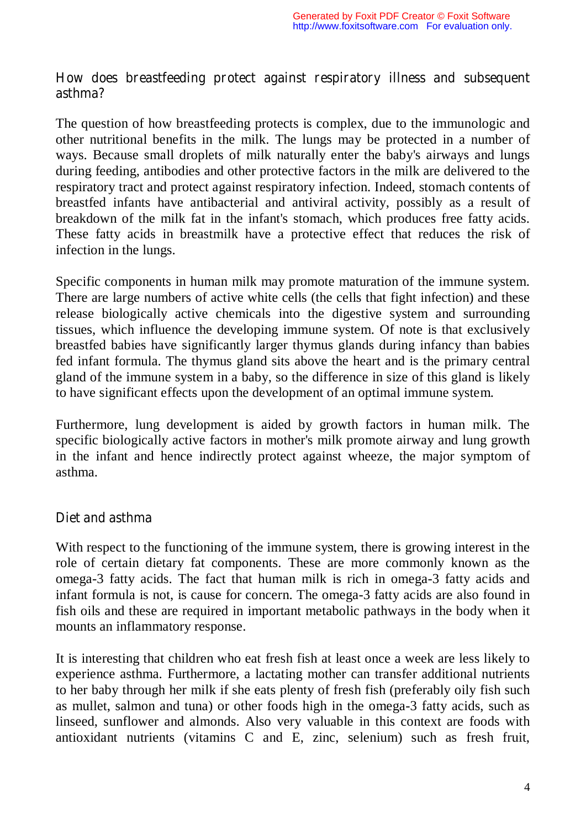#### How does breastfeeding protect against respiratory illness and subsequent asthma?

The question of how breastfeeding protects is complex, due to the immunologic and other nutritional benefits in the milk. The lungs may be protected in a number of ways. Because small droplets of milk naturally enter the baby's airways and lungs during feeding, antibodies and other protective factors in the milk are delivered to the respiratory tract and protect against respiratory infection. Indeed, stomach contents of breastfed infants have antibacterial and antiviral activity, possibly as a result of breakdown of the milk fat in the infant's stomach, which produces free fatty acids. These fatty acids in breastmilk have a protective effect that reduces the risk of infection in the lungs.

Specific components in human milk may promote maturation of the immune system. There are large numbers of active white cells (the cells that fight infection) and these release biologically active chemicals into the digestive system and surrounding tissues, which influence the developing immune system. Of note is that exclusively breastfed babies have significantly larger thymus glands during infancy than babies fed infant formula. The thymus gland sits above the heart and is the primary central gland of the immune system in a baby, so the difference in size of this gland is likely to have significant effects upon the development of an optimal immune system.

Furthermore, lung development is aided by growth factors in human milk. The specific biologically active factors in mother's milk promote airway and lung growth in the infant and hence indirectly protect against wheeze, the major symptom of asthma.

## Diet and asthma

With respect to the functioning of the immune system, there is growing interest in the role of certain dietary fat components. These are more commonly known as the omega-3 fatty acids. The fact that human milk is rich in omega-3 fatty acids and infant formula is not, is cause for concern. The omega-3 fatty acids are also found in fish oils and these are required in important metabolic pathways in the body when it mounts an inflammatory response.

It is interesting that children who eat fresh fish at least once a week are less likely to experience asthma. Furthermore, a lactating mother can transfer additional nutrients to her baby through her milk if she eats plenty of fresh fish (preferably oily fish such as mullet, salmon and tuna) or other foods high in the omega-3 fatty acids, such as linseed, sunflower and almonds. Also very valuable in this context are foods with antioxidant nutrients (vitamins C and E, zinc, selenium) such as fresh fruit,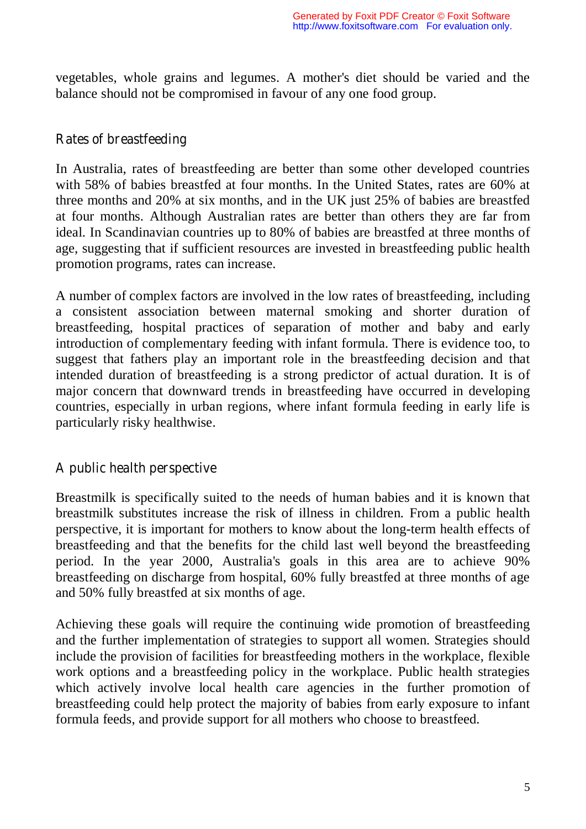vegetables, whole grains and legumes. A mother's diet should be varied and the balance should not be compromised in favour of any one food group.

#### Rates of breastfeeding

In Australia, rates of breastfeeding are better than some other developed countries with 58% of babies breastfed at four months. In the United States, rates are 60% at three months and 20% at six months, and in the UK just 25% of babies are breastfed at four months. Although Australian rates are better than others they are far from ideal. In Scandinavian countries up to 80% of babies are breastfed at three months of age, suggesting that if sufficient resources are invested in breastfeeding public health promotion programs, rates can increase.

A number of complex factors are involved in the low rates of breastfeeding, including a consistent association between maternal smoking and shorter duration of breastfeeding, hospital practices of separation of mother and baby and early introduction of complementary feeding with infant formula. There is evidence too, to suggest that fathers play an important role in the breastfeeding decision and that intended duration of breastfeeding is a strong predictor of actual duration. It is of major concern that downward trends in breastfeeding have occurred in developing countries, especially in urban regions, where infant formula feeding in early life is particularly risky healthwise.

## A public health perspective

Breastmilk is specifically suited to the needs of human babies and it is known that breastmilk substitutes increase the risk of illness in children. From a public health perspective, it is important for mothers to know about the long-term health effects of breastfeeding and that the benefits for the child last well beyond the breastfeeding period. In the year 2000, Australia's goals in this area are to achieve 90% breastfeeding on discharge from hospital, 60% fully breastfed at three months of age and 50% fully breastfed at six months of age.

Achieving these goals will require the continuing wide promotion of breastfeeding and the further implementation of strategies to support all women. Strategies should include the provision of facilities for breastfeeding mothers in the workplace, flexible work options and a breastfeeding policy in the workplace. Public health strategies which actively involve local health care agencies in the further promotion of breastfeeding could help protect the majority of babies from early exposure to infant formula feeds, and provide support for all mothers who choose to breastfeed.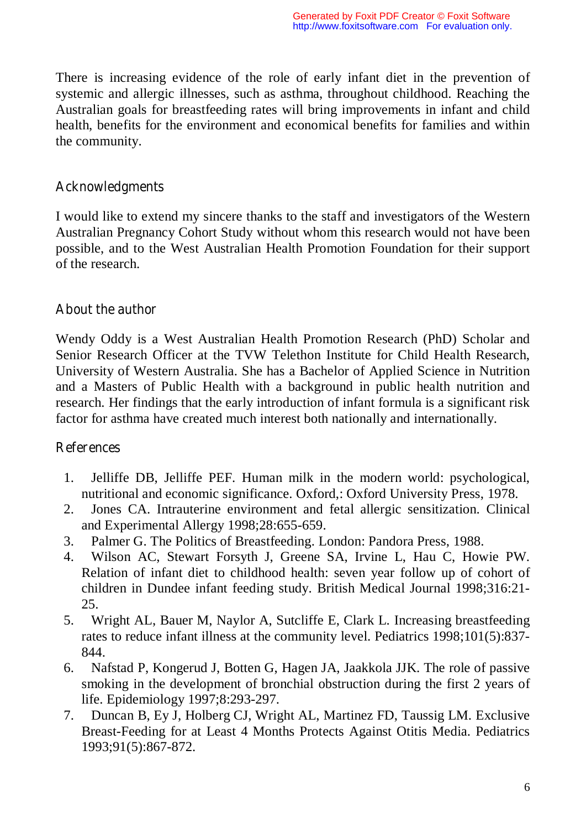There is increasing evidence of the role of early infant diet in the prevention of systemic and allergic illnesses, such as asthma, throughout childhood. Reaching the Australian goals for breastfeeding rates will bring improvements in infant and child health, benefits for the environment and economical benefits for families and within the community.

#### **Acknowledgments**

I would like to extend my sincere thanks to the staff and investigators of the Western Australian Pregnancy Cohort Study without whom this research would not have been possible, and to the West Australian Health Promotion Foundation for their support of the research.

## About the author

Wendy Oddy is a West Australian Health Promotion Research (PhD) Scholar and Senior Research Officer at the TVW Telethon Institute for Child Health Research, University of Western Australia. She has a Bachelor of Applied Science in Nutrition and a Masters of Public Health with a background in public health nutrition and research. Her findings that the early introduction of infant formula is a significant risk factor for asthma have created much interest both nationally and internationally.

## **References**

- 1. Jelliffe DB, Jelliffe PEF. Human milk in the modern world: psychological, nutritional and economic significance. Oxford,: Oxford University Press, 1978.
- 2. Jones CA. Intrauterine environment and fetal allergic sensitization. Clinical and Experimental Allergy 1998;28:655-659.
- 3. Palmer G. The Politics of Breastfeeding. London: Pandora Press, 1988.
- 4. Wilson AC, Stewart Forsyth J, Greene SA, Irvine L, Hau C, Howie PW. Relation of infant diet to childhood health: seven year follow up of cohort of children in Dundee infant feeding study. British Medical Journal 1998;316:21- 25.
- 5. Wright AL, Bauer M, Naylor A, Sutcliffe E, Clark L. Increasing breastfeeding rates to reduce infant illness at the community level. Pediatrics 1998;101(5):837- 844.
- 6. Nafstad P, Kongerud J, Botten G, Hagen JA, Jaakkola JJK. The role of passive smoking in the development of bronchial obstruction during the first 2 years of life. Epidemiology 1997;8:293-297.
- 7. Duncan B, Ey J, Holberg CJ, Wright AL, Martinez FD, Taussig LM. Exclusive Breast-Feeding for at Least 4 Months Protects Against Otitis Media. Pediatrics 1993;91(5):867-872.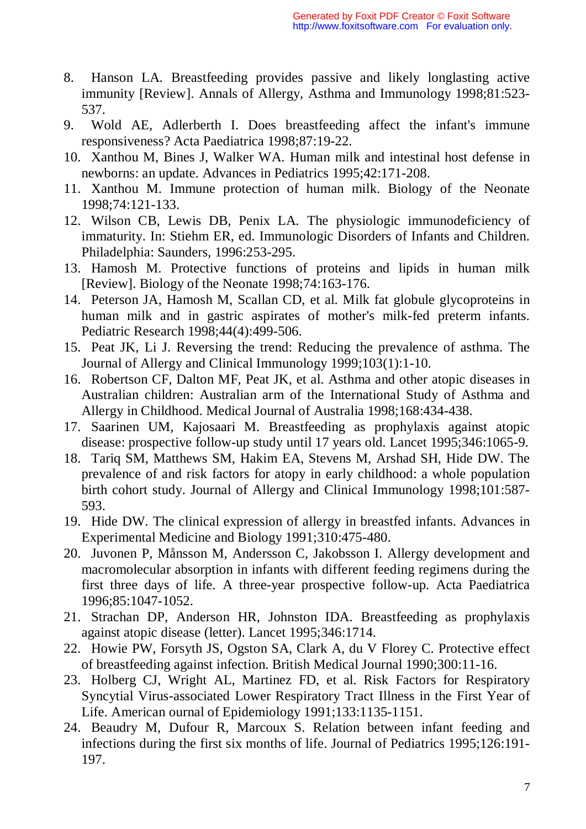- 8. Hanson LA. Breastfeeding provides passive and likely longlasting active immunity [Review]. Annals of Allergy, Asthma and Immunology 1998;81:523- 537.
- 9. Wold AE, Adlerberth I. Does breastfeeding affect the infant's immune responsiveness? Acta Paediatrica 1998;87:19-22.
- 10. Xanthou M, Bines J, Walker WA. Human milk and intestinal host defense in newborns: an update. Advances in Pediatrics 1995;42:171-208.
- 11. Xanthou M. Immune protection of human milk. Biology of the Neonate 1998;74:121-133.
- 12. Wilson CB, Lewis DB, Penix LA. The physiologic immunodeficiency of immaturity. In: Stiehm ER, ed. Immunologic Disorders of Infants and Children. Philadelphia: Saunders, 1996:253-295.
- 13. Hamosh M. Protective functions of proteins and lipids in human milk [Review]. Biology of the Neonate 1998;74:163-176.
- 14. Peterson JA, Hamosh M, Scallan CD, et al. Milk fat globule glycoproteins in human milk and in gastric aspirates of mother's milk-fed preterm infants. Pediatric Research 1998;44(4):499-506.
- 15. Peat JK, Li J. Reversing the trend: Reducing the prevalence of asthma. The Journal of Allergy and Clinical Immunology 1999;103(1):1-10.
- 16. Robertson CF, Dalton MF, Peat JK, et al. Asthma and other atopic diseases in Australian children: Australian arm of the International Study of Asthma and Allergy in Childhood. Medical Journal of Australia 1998;168:434-438.
- 17. Saarinen UM, Kajosaari M. Breastfeeding as prophylaxis against atopic disease: prospective follow-up study until 17 years old. Lancet 1995;346:1065-9.
- 18. Tariq SM, Matthews SM, Hakim EA, Stevens M, Arshad SH, Hide DW. The prevalence of and risk factors for atopy in early childhood: a whole population birth cohort study. Journal of Allergy and Clinical Immunology 1998;101:587- 593.
- 19. Hide DW. The clinical expression of allergy in breastfed infants. Advances in Experimental Medicine and Biology 1991;310:475-480.
- 20. Juvonen P, Månsson M, Andersson C, Jakobsson I. Allergy development and macromolecular absorption in infants with different feeding regimens during the first three days of life. A three-year prospective follow-up. Acta Paediatrica 1996;85:1047-1052.
- 21. Strachan DP, Anderson HR, Johnston IDA. Breastfeeding as prophylaxis against atopic disease (letter). Lancet 1995;346:1714.
- 22. Howie PW, Forsyth JS, Ogston SA, Clark A, du V Florey C. Protective effect of breastfeeding against infection. British Medical Journal 1990;300:11-16.
- 23. Holberg CJ, Wright AL, Martinez FD, et al. Risk Factors for Respiratory Syncytial Virus-associated Lower Respiratory Tract Illness in the First Year of Life. American ournal of Epidemiology 1991;133:1135-1151.
- 24. Beaudry M, Dufour R, Marcoux S. Relation between infant feeding and infections during the first six months of life. Journal of Pediatrics 1995;126:191- 197.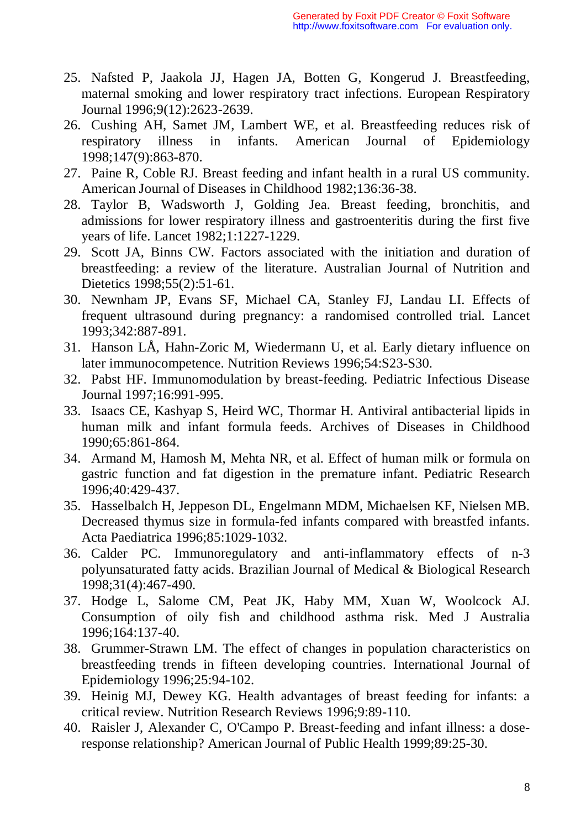- 25. Nafsted P, Jaakola JJ, Hagen JA, Botten G, Kongerud J. Breastfeeding, maternal smoking and lower respiratory tract infections. European Respiratory Journal 1996;9(12):2623-2639.
- 26. Cushing AH, Samet JM, Lambert WE, et al. Breastfeeding reduces risk of respiratory illness in infants. American Journal of Epidemiology 1998;147(9):863-870.
- 27. Paine R, Coble RJ. Breast feeding and infant health in a rural US community. American Journal of Diseases in Childhood 1982;136:36-38.
- 28. Taylor B, Wadsworth J, Golding Jea. Breast feeding, bronchitis, and admissions for lower respiratory illness and gastroenteritis during the first five years of life. Lancet 1982;1:1227-1229.
- 29. Scott JA, Binns CW. Factors associated with the initiation and duration of breastfeeding: a review of the literature. Australian Journal of Nutrition and Dietetics 1998;55(2):51-61.
- 30. Newnham JP, Evans SF, Michael CA, Stanley FJ, Landau LI. Effects of frequent ultrasound during pregnancy: a randomised controlled trial. Lancet 1993;342:887-891.
- 31. Hanson LÅ, Hahn-Zoric M, Wiedermann U, et al. Early dietary influence on later immunocompetence. Nutrition Reviews 1996;54:S23-S30.
- 32. Pabst HF. Immunomodulation by breast-feeding. Pediatric Infectious Disease Journal 1997;16:991-995.
- 33. Isaacs CE, Kashyap S, Heird WC, Thormar H. Antiviral antibacterial lipids in human milk and infant formula feeds. Archives of Diseases in Childhood 1990;65:861-864.
- 34. Armand M, Hamosh M, Mehta NR, et al. Effect of human milk or formula on gastric function and fat digestion in the premature infant. Pediatric Research 1996;40:429-437.
- 35. Hasselbalch H, Jeppeson DL, Engelmann MDM, Michaelsen KF, Nielsen MB. Decreased thymus size in formula-fed infants compared with breastfed infants. Acta Paediatrica 1996;85:1029-1032.
- 36. Calder PC. Immunoregulatory and anti-inflammatory effects of n-3 polyunsaturated fatty acids. Brazilian Journal of Medical & Biological Research 1998;31(4):467-490.
- 37. Hodge L, Salome CM, Peat JK, Haby MM, Xuan W, Woolcock AJ. Consumption of oily fish and childhood asthma risk. Med J Australia 1996;164:137-40.
- 38. Grummer-Strawn LM. The effect of changes in population characteristics on breastfeeding trends in fifteen developing countries. International Journal of Epidemiology 1996;25:94-102.
- 39. Heinig MJ, Dewey KG. Health advantages of breast feeding for infants: a critical review. Nutrition Research Reviews 1996;9:89-110.
- 40. Raisler J, Alexander C, O'Campo P. Breast-feeding and infant illness: a doseresponse relationship? American Journal of Public Health 1999;89:25-30.